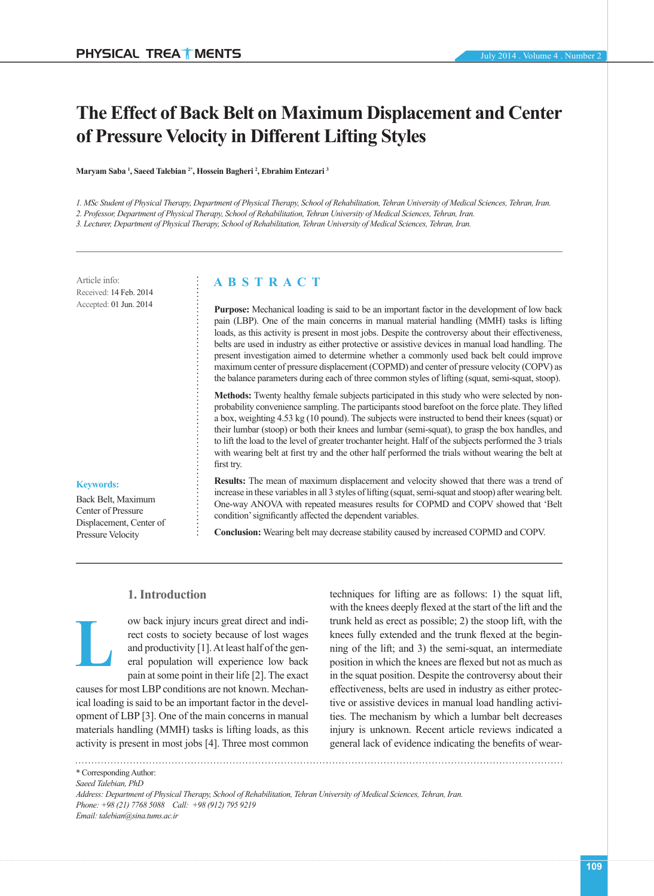# **The Effect of Back Belt on Maximum Displacement and Center of Pressure Velocity in Different Lifting Styles**

**Maryam Saba 1 , Saeed Talebian 2\*, Hossein Bagheri 2 , Ebrahim Entezari 3**

*1. MSc Student of Physical Therapy, Department of Physical Therapy, School of Rehabilitation, Tehran University of Medical Sciences, Tehran, Iran.*

*2. Professor, Department of Physical Therapy, School of Rehabilitation, Tehran University of Medical Sciences, Tehran, Iran.*

*3. Lecturer, Department of Physical Therapy, School of Rehabilitation, Tehran University of Medical Sciences, Tehran, Iran.*

Article info: Received: 14 Feb. 2014 Accepted: 01 Jun. 2014

# **A B S T R A C T**

**Purpose:** Mechanical loading is said to be an important factor in the development of low back pain (LBP). One of the main concerns in manual material handling (MMH) tasks is lifting loads, as this activity is present in most jobs. Despite the controversy about their effectiveness, belts are used in industry as either protective or assistive devices in manual load handling. The present investigation aimed to determine whether a commonly used back belt could improve maximum center of pressure displacement (COPMD) and center of pressure velocity (COPV) as the balance parameters during each of three common styles of lifting (squat, semi-squat, stoop).

**Methods:** Twenty healthy female subjects participated in this study who were selected by nonprobability convenience sampling. The participants stood barefoot on the force plate. They lifted a box, weighting 4.53 kg (10 pound). The subjects were instructed to bend their knees (squat) or their lumbar (stoop) or both their knees and lumbar (semi-squat), to grasp the box handles, and to lift the load to the level of greater trochanter height. Half of the subjects performed the 3 trials with wearing belt at first try and the other half performed the trials without wearing the belt at first try.

#### **Keywords:**

**L**

Back Belt, Maximum Center of Pressure Displacement, Center of Pressure Velocity

**Results:** The mean of maximum displacement and velocity showed that there was a trend of increase in these variables in all 3 styles of lifting (squat, semi-squat and stoop) after wearing belt. One-way ANOVA with repeated measures results for COPMD and COPV showed that 'Belt condition' significantly affected the dependent variables.

**Conclusion:** Wearing belt may decrease stability caused by increased COPMD and COPV.

## **1. Introduction**

ow back injury incurs great direct and indirect costs to society because of lost wages and productivity [1]. At least half of the general population will experience low back pain at some point in their life [2]. The exact

causes for most LBP conditions are not known. Mechanical loading is said to be an important factor in the development of LBP [3]. One of the main concerns in manual materials handling (MMH) tasks is lifting loads, as this activity is present in most jobs [4]. Three most common

techniques for lifting are as follows: 1) the squat lift, with the knees deeply flexed at the start of the lift and the trunk held as erect as possible; 2) the stoop lift, with the knees fully extended and the trunk flexed at the beginning of the lift; and 3) the semi-squat, an intermediate position in which the knees are flexed but not as much as in the squat position. Despite the controversy about their effectiveness, belts are used in industry as either protective or assistive devices in manual load handling activities. The mechanism by which a lumbar belt decreases injury is unknown. Recent article reviews indicated a general lack of evidence indicating the benefits of wear-

<sup>\*</sup> Corresponding Author:

*Saeed Talebian, PhD*

*Address: Department of Physical Therapy, School of Rehabilitation, Tehran University of Medical Sciences, Tehran, Iran. Phone: +98 (21) 7768 5088 Call: +98 (912) 795 9219 Email: talebian@sina.tums.ac.ir*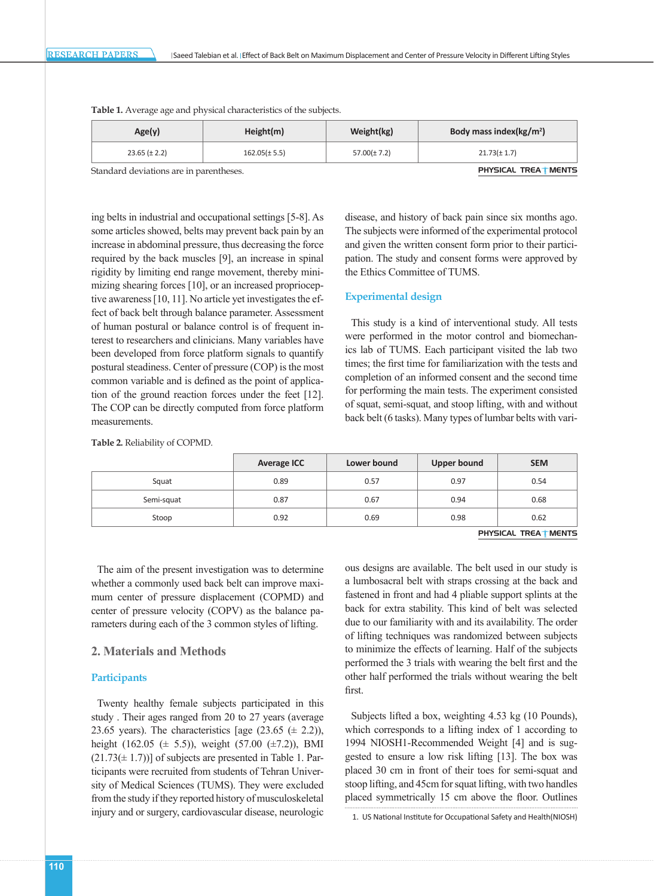| Age(y)            | Height(m)         | Weight(kg)       | Body mass index( $kg/m2$ ) |  |
|-------------------|-------------------|------------------|----------------------------|--|
| $23.65 (\pm 2.2)$ | $162.05(\pm 5.5)$ | $57.00(\pm 7.2)$ | $21.73(\pm 1.7)$           |  |

**Table 1.** Average age and physical characteristics of the subjects.

Standard deviations are in parentheses. The extendion of the extendion of the extendion of  $\blacksquare$  PHYSICAL TREA  $\uparrow$  MENTS

ing belts in industrial and occupational settings [5-8]. As some articles showed, belts may prevent back pain by an increase in abdominal pressure, thus decreasing the force required by the back muscles [9], an increase in spinal rigidity by limiting end range movement, thereby minimizing shearing forces [10], or an increased proprioceptive awareness [10, 11]. No article yet investigates the effect of back belt through balance parameter. Assessment of human postural or balance control is of frequent interest to researchers and clinicians. Many variables have been developed from force platform signals to quantify postural steadiness. Center of pressure (COP) is the most common variable and is defined as the point of application of the ground reaction forces under the feet [12]. The COP can be directly computed from force platform measurements.

disease, and history of back pain since six months ago. The subjects were informed of the experimental protocol and given the written consent form prior to their participation. The study and consent forms were approved by the Ethics Committee of TUMS.

#### **Experimental design**

This study is a kind of interventional study. All tests were performed in the motor control and biomechanics lab of TUMS. Each participant visited the lab two times; the first time for familiarization with the tests and completion of an informed consent and the second time for performing the main tests. The experiment consisted of squat, semi-squat, and stoop lifting, with and without back belt (6 tasks). Many types of lumbar belts with vari-

|            | <b>Average ICC</b> | Lower bound | <b>Upper bound</b> | <b>SEM</b> |
|------------|--------------------|-------------|--------------------|------------|
| Squat      | 0.89               | 0.57        | 0.97               | 0.54       |
| Semi-squat | 0.87               | 0.67        | 0.94               | 0.68       |
| Stoop      | 0.92               | 0.69        | 0.98               | 0.62       |
|            |                    |             |                    |            |

**Table 2.** Reliability of COPMD.

PHYSICAL TREA **MENTS** 

The aim of the present investigation was to determine whether a commonly used back belt can improve maximum center of pressure displacement (COPMD) and center of pressure velocity (COPV) as the balance parameters during each of the 3 common styles of lifting.

## **2. Materials and Methods**

## **Participants**

Twenty healthy female subjects participated in this study . Their ages ranged from 20 to 27 years (average 23.65 years). The characteristics [age  $(23.65 \ (\pm 2.2))$ , height (162.05 ( $\pm$  5.5)), weight (57.00 ( $\pm$ 7.2)), BMI  $(21.73(\pm 1.7))$ ] of subjects are presented in Table 1. Participants were recruited from students of Tehran University of Medical Sciences (TUMS). They were excluded from the study if they reported history of musculoskeletal injury and or surgery, cardiovascular disease, neurologic

ous designs are available. The belt used in our study is a lumbosacral belt with straps crossing at the back and fastened in front and had 4 pliable support splints at the back for extra stability. This kind of belt was selected due to our familiarity with and its availability. The order of lifting techniques was randomized between subjects to minimize the effects of learning. Half of the subjects performed the 3 trials with wearing the belt first and the other half performed the trials without wearing the belt first.

Subjects lifted a box, weighting 4.53 kg (10 Pounds), which corresponds to a lifting index of 1 according to 1994 NIOSH1-Recommended Weight [4] and is suggested to ensure a low risk lifting [13]. The box was placed 30 cm in front of their toes for semi-squat and stoop lifting, and 45cm for squat lifting, with two handles placed symmetrically 15 cm above the floor. Outlines

1. US National Institute for Occupational Safety and Health(NIOSH)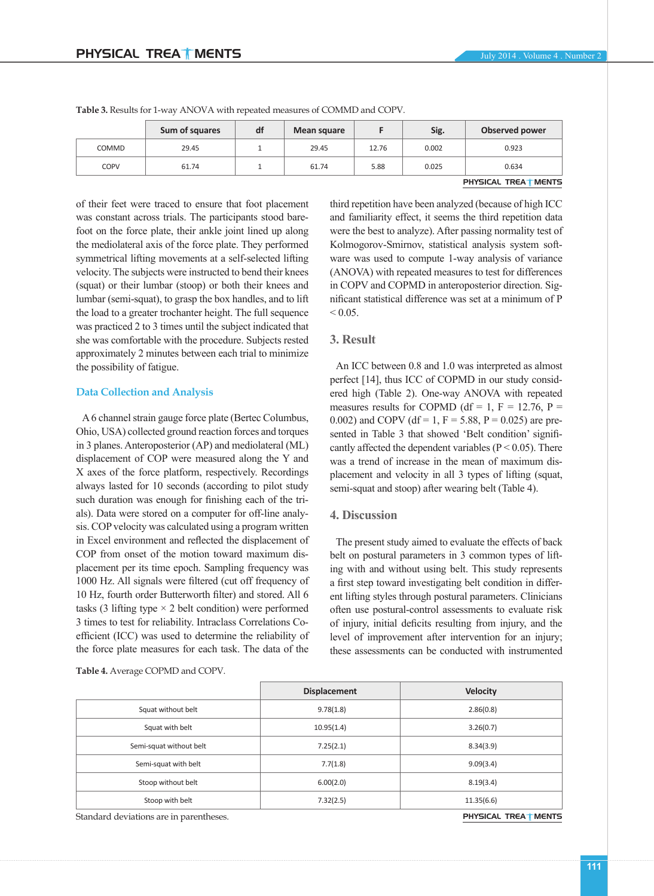PHYSICAL TREA<sup>T</sup> MENTS

|       | Sum of squares | df | Mean square |       | Sig.  | Observed power |
|-------|----------------|----|-------------|-------|-------|----------------|
| COMMD | 29.45          |    | 29.45       | 12.76 | 0.002 | 0.923          |
| COPV  | 61.74          |    | 61.74       | 5.88  | 0.025 | 0.634          |

**Table 3.** Results for 1-way ANOVA with repeated measures of COMMD and COPV.

of their feet were traced to ensure that foot placement was constant across trials. The participants stood barefoot on the force plate, their ankle joint lined up along the mediolateral axis of the force plate. They performed symmetrical lifting movements at a self-selected lifting velocity. The subjects were instructed to bend their knees (squat) or their lumbar (stoop) or both their knees and lumbar (semi-squat), to grasp the box handles, and to lift the load to a greater trochanter height. The full sequence was practiced 2 to 3 times until the subject indicated that she was comfortable with the procedure. Subjects rested approximately 2 minutes between each trial to minimize the possibility of fatigue.

## **Data Collection and Analysis**

A 6 channel strain gauge force plate (Bertec Columbus, Ohio, USA) collected ground reaction forces and torques in 3 planes. Anteroposterior (AP) and mediolateral (ML) displacement of COP were measured along the Y and X axes of the force platform, respectively. Recordings always lasted for 10 seconds (according to pilot study such duration was enough for finishing each of the trials). Data were stored on a computer for off-line analysis. COP velocity was calculated using a program written in Excel environment and reflected the displacement of COP from onset of the motion toward maximum displacement per its time epoch. Sampling frequency was 1000 Hz. All signals were filtered (cut off frequency of 10 Hz, fourth order Butterworth filter) and stored. All 6 tasks (3 lifting type  $\times$  2 belt condition) were performed 3 times to test for reliability. Intraclass Correlations Coefficient (ICC) was used to determine the reliability of the force plate measures for each task. The data of the

**Table 4.** Average COPMD and COPV.

third repetition have been analyzed (because of high ICC and familiarity effect, it seems the third repetition data were the best to analyze). After passing normality test of Kolmogorov-Smirnov, statistical analysis system software was used to compute 1-way analysis of variance (ANOVA) with repeated measures to test for differences in COPV and COPMD in anteroposterior direction. Significant statistical difference was set at a minimum of P  $< 0.05$ .

## **3. Result**

An ICC between 0.8 and 1.0 was interpreted as almost perfect [14], thus ICC of COPMD in our study considered high (Table 2). One-way ANOVA with repeated measures results for COPMD (df = 1,  $F = 12.76$ ,  $P =$ 0.002) and COPV (df = 1, F = 5.88, P = 0.025) are presented in Table 3 that showed 'Belt condition' significantly affected the dependent variables ( $P < 0.05$ ). There was a trend of increase in the mean of maximum displacement and velocity in all 3 types of lifting (squat, semi-squat and stoop) after wearing belt (Table 4).

## **4. Discussion**

The present study aimed to evaluate the effects of back belt on postural parameters in 3 common types of lifting with and without using belt. This study represents a first step toward investigating belt condition in different lifting styles through postural parameters. Clinicians often use postural-control assessments to evaluate risk of injury, initial deficits resulting from injury, and the level of improvement after intervention for an injury; these assessments can be conducted with instrumented

|                         | <b>Displacement</b> | <b>Velocity</b> |
|-------------------------|---------------------|-----------------|
| Squat without belt      | 9.78(1.8)           | 2.86(0.8)       |
| Squat with belt         | 10.95(1.4)          | 3.26(0.7)       |
| Semi-squat without belt | 7.25(2.1)           | 8.34(3.9)       |
| Semi-squat with belt    | 7.7(1.8)            | 9.09(3.4)       |
| Stoop without belt      | 6.00(2.0)           | 8.19(3.4)       |
| Stoop with belt         | 7.32(2.5)           | 11.35(6.6)      |

Standard deviations are in parentheses. **PHYSICAL TREA** MENTS